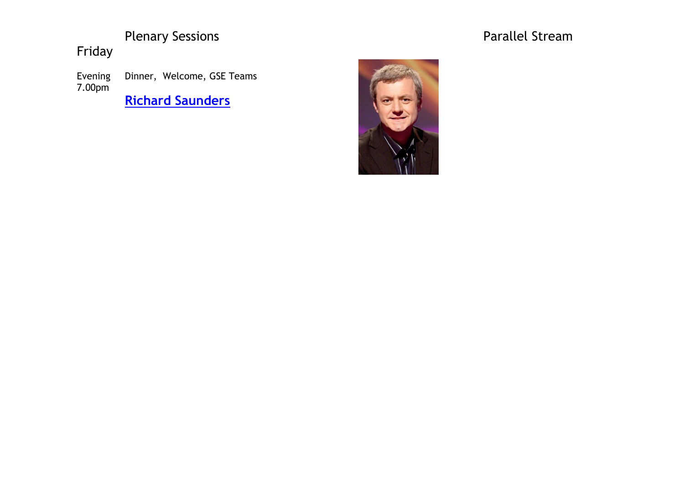# Plenary Sessions

Friday

Evening 7.00pm Dinner, Welcome, GSE Teams

**[Richard Saunders](http://www.conference2013.rotarydistrict9680.org/index.php?option=com_content&view=article&id=72&Itemid=92)**



## Parallel Stream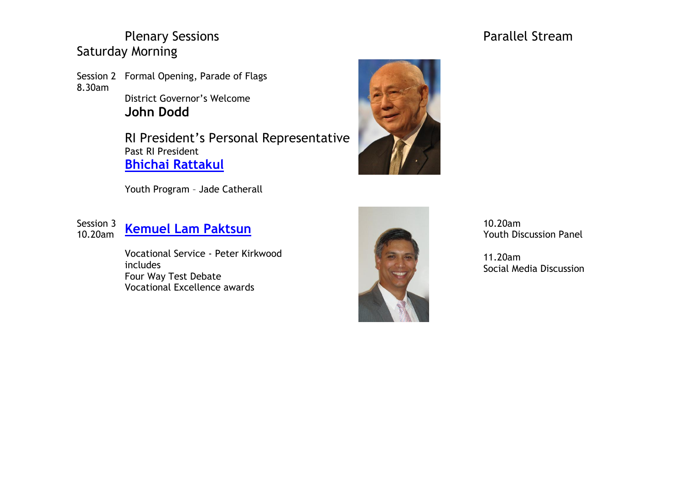## Plenary Sessions **Plenary Sessions Parallel Stream** Saturday Morning

Session 2 Formal Opening, Parade of Flags 8.30am

District Governor's Welcome **John Dodd**

RI President's Personal Representative Past RI President **Bhichai [Rattakul](http://www.conference2013.rotarydistrict9680.org/index.php?option=com_content&view=article&id=105&Itemid=128)**

Youth Program – Jade Catherall

Session 3<br>10.20am

# **[Kemuel Lam Paktsun](http://www.conference2013.rotarydistrict9680.org/index.php?option=com_content&view=article&id=101&Itemid=91)**

Vocational Service - Peter Kirkwood includes Four Way Test Debate Vocational Excellence awards





10.20am Youth Discussion Panel

11.20am Social Media Discussion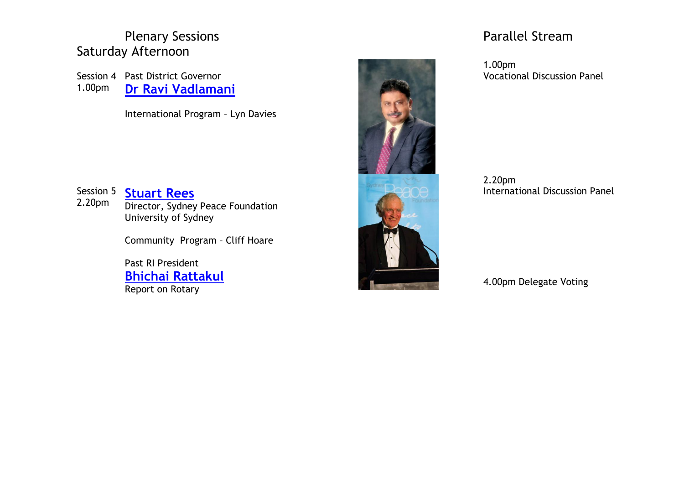# Saturday Afternoon

Session 4 Past District Governor 1.00pm **Dr Ravi [Vadlamani](http://www.conference2013.rotarydistrict9680.org/index.php?option=com_content&view=article&id=99&Itemid=112)**

International Program – Lyn Davies



### 2.20pm International Discussion Panel

4.00pm Delegate Voting

Session 5 **[Stuart Rees](http://www.conference2013.rotarydistrict9680.org/index.php?option=com_content&view=article&id=102&Itemid=89)** 2.20pm Director, Sydney Peace Foundation University of Sydney

Community Program – Cliff Hoare

Past RI President **Bhichai [Rattakul](http://www.conference2013.rotarydistrict9680.org/index.php?option=com_content&view=article&id=105&Itemid=128)** Report on Rotary



1.00pm Vocational Discussion Panel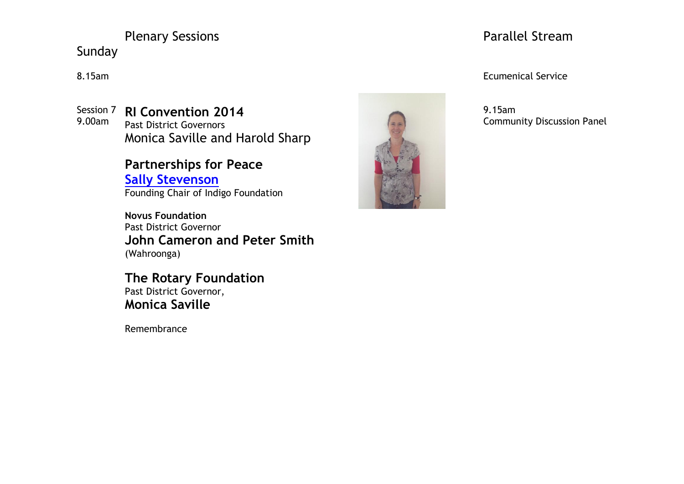# Plenary Sessions **Plenary Sessions Parallel Stream**

Sunday

Session 7 **RI Convention 2014** 9.00am Past District Governors Monica Saville and Harold Sharp

> **Partnerships for Peace Sally [Stevenson](http://www.conference2013.rotarydistrict9680.org/index.php?option=com_content&view=article&id=100&Itemid=88)** Founding Chair of Indigo Foundation

**Novus Foundation**  Past District Governor **John Cameron and Peter Smith** (Wahroonga)

**The Rotary Foundation** Past District Governor, **Monica Saville**

Remembrance



## 8.15am Ecumenical Service

9.15am Community Discussion Panel